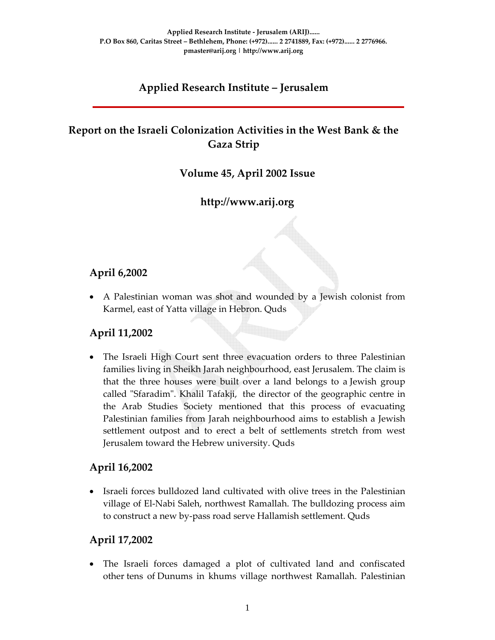## **Applied Research Institute – Jerusalem**

## **Report on the Israeli Colonization Activities in the West Bank & the Gaza Strip**

#### **Volume 45, April 2002 Issue**

**http://www.arij.org**

#### **April 6,2002**

• A Palestinian woman was shot and wounded by a Jewish colonist from Karmel, east of Yatta village in Hebron. Quds

#### **April 11,2002**

• The Israeli High Court sent three evacuation orders to three Palestinian families living in Sheikh Jarah neighbourhood, east Jerusalem. The claim is that the three houses were built over a land belongs to a Jewish group called "Sfaradim". Khalil Tafakji, the director of the geographic centre in the Arab Studies Society mentioned that this process of evacuating Palestinian families from Jarah neighbourhood aims to establish a Jewish settlement outpost and to erect a belt of settlements stretch from west Jerusalem toward the Hebrew university. Quds

#### **April 16,2002**

• Israeli forces bulldozed land cultivated with olive trees in the Palestinian village of El‐Nabi Saleh, northwest Ramallah. The bulldozing process aim to construct a new by‐pass road serve Hallamish settlement. Quds

#### **April 17,2002**

• The Israeli forces damaged a plot of cultivated land and confiscated other tens of Dunums in khums village northwest Ramallah. Palestinian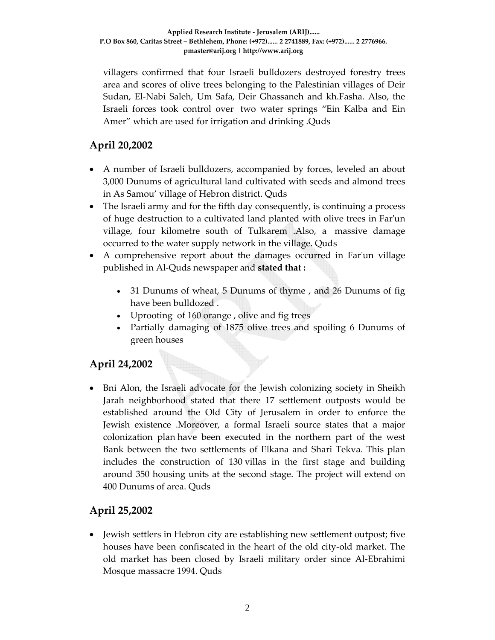villagers confirmed that four Israeli bulldozers destroyed forestry trees area and scores of olive trees belonging to the Palestinian villages of Deir Sudan, El‐Nabi Saleh, Um Safa, Deir Ghassaneh and kh.Fasha. Also, the Israeli forces took control over two water springs "Ein Kalba and Ein Amer" which are used for irrigation and drinking .Quds

## **April 20,2002**

- A number of Israeli bulldozers, accompanied by forces, leveled an about 3,000 Dunums of agricultural land cultivated with seeds and almond trees in As Samou' village of Hebron district. Quds
- The Israeli army and for the fifth day consequently, is continuing a process of huge destruction to a cultivated land planted with olive trees in Farʹun village, four kilometre south of Tulkarem .Also, a massive damage occurred to the water supply network in the village. Quds
- A comprehensive report about the damages occurred in Farʹun village published in Al‐Quds newspaper and **stated that :**
	- 31 Dunums of wheat, 5 Dunums of thyme , and 26 Dunums of fig have been bulldozed .
	- Uprooting of 160 orange , olive and fig trees
	- Partially damaging of 1875 olive trees and spoiling 6 Dunums of green houses

# **April 24,2002**

• Bni Alon, the Israeli advocate for the Jewish colonizing society in Sheikh Jarah neighborhood stated that there 17 settlement outposts would be established around the Old City of Jerusalem in order to enforce the Jewish existence .Moreover, a formal Israeli source states that a major colonization plan have been executed in the northern part of the west Bank between the two settlements of Elkana and Shari Tekva. This plan includes the construction of 130 villas in the first stage and building around 350 housing units at the second stage. The project will extend on 400 Dunums of area. Quds

## **April 25,2002**

• Jewish settlers in Hebron city are establishing new settlement outpost; five houses have been confiscated in the heart of the old city‐old market. The old market has been closed by Israeli military order since Al‐Ebrahimi Mosque massacre 1994. Quds